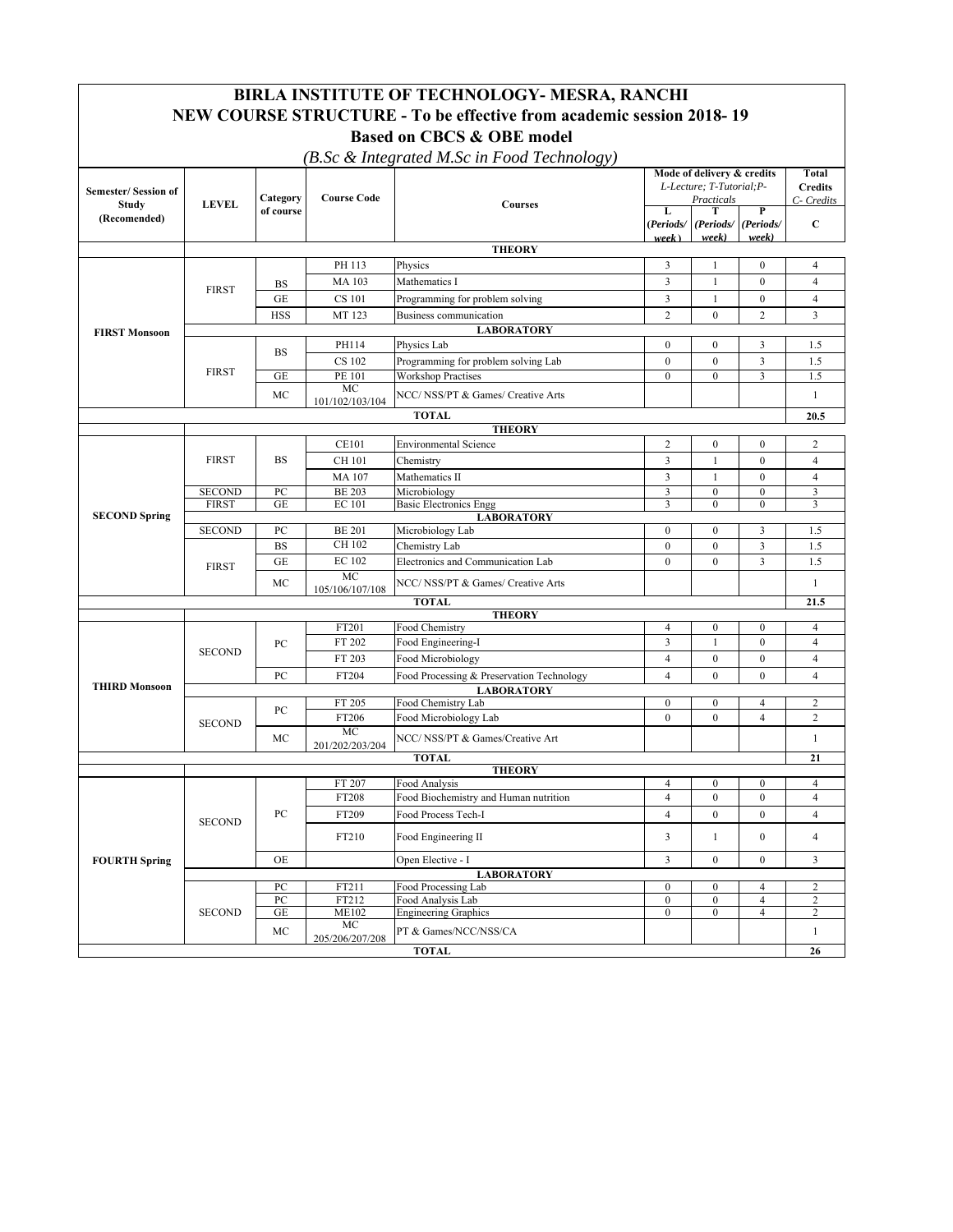| BIRLA INSTITUTE OF TECHNOLOGY- MESRA, RANCHI                         |                                                                                           |                       |                       |                                                                |                                                         |                                  |                              |                                |  |
|----------------------------------------------------------------------|-------------------------------------------------------------------------------------------|-----------------------|-----------------------|----------------------------------------------------------------|---------------------------------------------------------|----------------------------------|------------------------------|--------------------------------|--|
| NEW COURSE STRUCTURE - To be effective from academic session 2018-19 |                                                                                           |                       |                       |                                                                |                                                         |                                  |                              |                                |  |
| <b>Based on CBCS &amp; OBE model</b>                                 |                                                                                           |                       |                       |                                                                |                                                         |                                  |                              |                                |  |
| (B.Sc & Integrated M.Sc in Food Technology)                          |                                                                                           |                       |                       |                                                                |                                                         |                                  |                              |                                |  |
| <b>Semester/Session of</b>                                           | <b>LEVEL</b>                                                                              |                       | <b>Course Code</b>    | Courses                                                        | Mode of delivery & credits<br>L-Lecture; T-Tutorial; P- |                                  |                              | <b>Total</b><br><b>Credits</b> |  |
| Study                                                                |                                                                                           | Category<br>of course |                       |                                                                | Practicals<br>L                                         |                                  | P                            | C- Credits                     |  |
| (Recomended)                                                         |                                                                                           |                       |                       |                                                                | (Periods/                                               | (Periods/ (Periods/              |                              | C                              |  |
|                                                                      |                                                                                           |                       |                       | <b>THEORY</b>                                                  | week)                                                   | week)                            | week)                        |                                |  |
|                                                                      |                                                                                           |                       | PH 113                | Physics                                                        | 3                                                       | 1                                | $\mathbf{0}$                 | $\overline{4}$                 |  |
|                                                                      |                                                                                           | BS                    | <b>MA103</b>          | Mathematics I                                                  | 3                                                       | 1                                | $\mathbf{0}$                 | $\overline{4}$                 |  |
|                                                                      | <b>FIRST</b>                                                                              | <b>GE</b>             | <b>CS 101</b>         | Programming for problem solving                                | 3                                                       | 1                                | $\mathbf{0}$                 | $\overline{4}$                 |  |
|                                                                      |                                                                                           | <b>HSS</b>            | MT 123                | Business communication                                         | $\overline{2}$                                          | $\mathbf{0}$                     | $\overline{c}$               | 3                              |  |
| <b>FIRST Monsoon</b>                                                 |                                                                                           |                       |                       | <b>LABORATORY</b>                                              |                                                         |                                  |                              |                                |  |
|                                                                      |                                                                                           | <b>BS</b>             | PH114                 | Physics Lab                                                    | $\mathbf{0}$                                            | $\mathbf{0}$                     | 3                            | 1.5                            |  |
|                                                                      |                                                                                           |                       | CS 102                | Programming for problem solving Lab                            | $\mathbf{0}$                                            | $\mathbf{0}$                     | $\mathfrak{Z}$               | 1.5                            |  |
|                                                                      | <b>FIRST</b>                                                                              | GE                    | PE 101                | <b>Workshop Practises</b>                                      | $\mathbf{0}$                                            | $\overline{0}$                   | 3                            | 1.5                            |  |
|                                                                      |                                                                                           | MC                    | MC<br>101/102/103/104 | NCC/ NSS/PT & Games/ Creative Arts                             |                                                         |                                  |                              | $\mathbf{1}$                   |  |
|                                                                      |                                                                                           |                       |                       | <b>TOTAL</b>                                                   |                                                         |                                  |                              | 20.5                           |  |
|                                                                      |                                                                                           |                       |                       | <b>THEORY</b>                                                  |                                                         |                                  |                              |                                |  |
|                                                                      |                                                                                           |                       | <b>CE101</b>          | <b>Environmental Science</b>                                   | $\sqrt{2}$                                              | $\mathbf{0}$                     | $\mathbf{0}$                 | $\overline{c}$                 |  |
|                                                                      | <b>FIRST</b>                                                                              | <b>BS</b>             | <b>CH101</b>          | Chemistry                                                      | 3                                                       | 1                                | $\mathbf{0}$                 | $\overline{4}$                 |  |
|                                                                      |                                                                                           |                       | <b>MA107</b>          | Mathematics II                                                 | 3                                                       | 1                                | $\mathbf{0}$                 | $\overline{4}$                 |  |
|                                                                      | <b>SECOND</b>                                                                             | PC<br>GE              | <b>BE 203</b>         | Microbiology<br><b>Basic Electronics Engg</b>                  | 3<br>3                                                  | $\mathbf{0}$<br>$\boldsymbol{0}$ | $\mathbf{0}$<br>$\mathbf{0}$ | 3<br>3                         |  |
| <b>SECOND Spring</b>                                                 | <b>FIRST</b>                                                                              |                       | <b>EC</b> 101         | <b>LABORATORY</b>                                              |                                                         |                                  |                              |                                |  |
|                                                                      | <b>SECOND</b>                                                                             | PC                    | <b>BE 201</b>         | Microbiology Lab                                               | $\boldsymbol{0}$                                        | $\boldsymbol{0}$                 | 3                            | 1.5                            |  |
|                                                                      | <b>FIRST</b>                                                                              | <b>BS</b>             | CH 102                | Chemistry Lab                                                  | $\mathbf{0}$                                            | $\mathbf{0}$                     | $\mathfrak{Z}$               | 1.5                            |  |
|                                                                      |                                                                                           | GE                    | <b>EC 102</b>         | Electronics and Communication Lab                              | $\mathbf{0}$                                            | $\mathbf{0}$                     | 3                            | 1.5                            |  |
|                                                                      |                                                                                           | MC                    | <b>MC</b>             | NCC/ NSS/PT & Games/ Creative Arts                             |                                                         |                                  |                              | -1                             |  |
|                                                                      |                                                                                           |                       | 105/106/107/108       | <b>TOTAL</b>                                                   |                                                         |                                  |                              | 21.5                           |  |
|                                                                      |                                                                                           |                       |                       | <b>THEORY</b>                                                  |                                                         |                                  |                              |                                |  |
|                                                                      | <b>SECOND</b>                                                                             | PC                    | FT201                 | Food Chemistry                                                 | 4                                                       | $\overline{0}$                   | $\boldsymbol{0}$             | 4                              |  |
|                                                                      |                                                                                           |                       | FT 202                | Food Engineering-I                                             | 3                                                       | $\mathbf{1}$                     | $\mathbf{0}$                 | $\overline{4}$                 |  |
|                                                                      |                                                                                           |                       | FT 203                | Food Microbiology                                              | $\overline{4}$                                          | $\boldsymbol{0}$                 | $\boldsymbol{0}$             | $\overline{4}$                 |  |
| <b>THIRD Monsoon</b>                                                 |                                                                                           | PC                    | FT204                 | Food Processing & Preservation Technology<br><b>LABORATORY</b> | $\overline{4}$                                          | $\mathbf{0}$                     | $\mathbf{0}$                 | $\overline{4}$                 |  |
|                                                                      |                                                                                           |                       | FT 205                | $\bf{0}$                                                       | 0                                                       | 4                                | 2                            |                                |  |
|                                                                      | <b>SECOND</b>                                                                             | PC                    | FT206                 | Food Chemistry Lab<br>Food Microbiology Lab                    | $\mathbf{0}$                                            | $\mathbf{0}$                     | $\overline{4}$               | $\overline{c}$                 |  |
|                                                                      |                                                                                           | MC                    | MC                    | NCC/ NSS/PT & Games/Creative Art                               |                                                         |                                  |                              | $\mathbf{1}$                   |  |
|                                                                      |                                                                                           |                       | 201/202/203/204       |                                                                |                                                         |                                  |                              |                                |  |
|                                                                      |                                                                                           |                       |                       | <b>TOTAL</b><br><b>THEORY</b>                                  |                                                         |                                  |                              | 21                             |  |
|                                                                      | <b>SECOND</b>                                                                             | ${\rm P}{\bf C}$      | FT 207                | Food Analysis                                                  | 4                                                       | $\bf{0}$                         | $\bf{0}$                     | 4                              |  |
|                                                                      |                                                                                           |                       | FT208                 | Food Biochemistry and Human nutrition                          | $\overline{4}$                                          | $\boldsymbol{0}$                 | $\boldsymbol{0}$             | $\overline{4}$                 |  |
|                                                                      |                                                                                           |                       | FT209                 | Food Process Tech-I                                            | $\overline{4}$                                          | $\mathbf{0}$                     | $\boldsymbol{0}$             | 4                              |  |
| <b>FOURTH Spring</b>                                                 |                                                                                           |                       | FT210                 | Food Engineering II                                            | 3                                                       | $\mathbf{1}$                     | $\boldsymbol{0}$             | $\overline{4}$                 |  |
|                                                                      |                                                                                           |                       |                       |                                                                |                                                         |                                  |                              | 3                              |  |
|                                                                      | OE<br>Open Elective - I<br>3<br>$\boldsymbol{0}$<br>$\boldsymbol{0}$<br><b>LABORATORY</b> |                       |                       |                                                                |                                                         |                                  |                              |                                |  |
|                                                                      |                                                                                           | PC                    | FT211                 | <b>Food Processing Lab</b>                                     | $\bf{0}$                                                | 0                                | $\overline{4}$               | 2                              |  |
|                                                                      |                                                                                           | ${\rm P}{\bf C}$      | FT212                 | Food Analysis Lab                                              | $\boldsymbol{0}$                                        | $\boldsymbol{0}$                 | $\overline{4}$               | $\overline{c}$                 |  |
|                                                                      | <b>SECOND</b>                                                                             | $\operatorname{GE}$   | <b>ME102</b><br>МC    | <b>Engineering Graphics</b>                                    | $\bf{0}$                                                | $\boldsymbol{0}$                 | $\overline{4}$               | 2                              |  |
|                                                                      |                                                                                           | МC                    | 205/206/207/208       | PT & Games/NCC/NSS/CA                                          |                                                         |                                  |                              | $\mathbf{1}$                   |  |
|                                                                      |                                                                                           |                       |                       | <b>TOTAL</b>                                                   |                                                         |                                  |                              | 26                             |  |

 $\Gamma$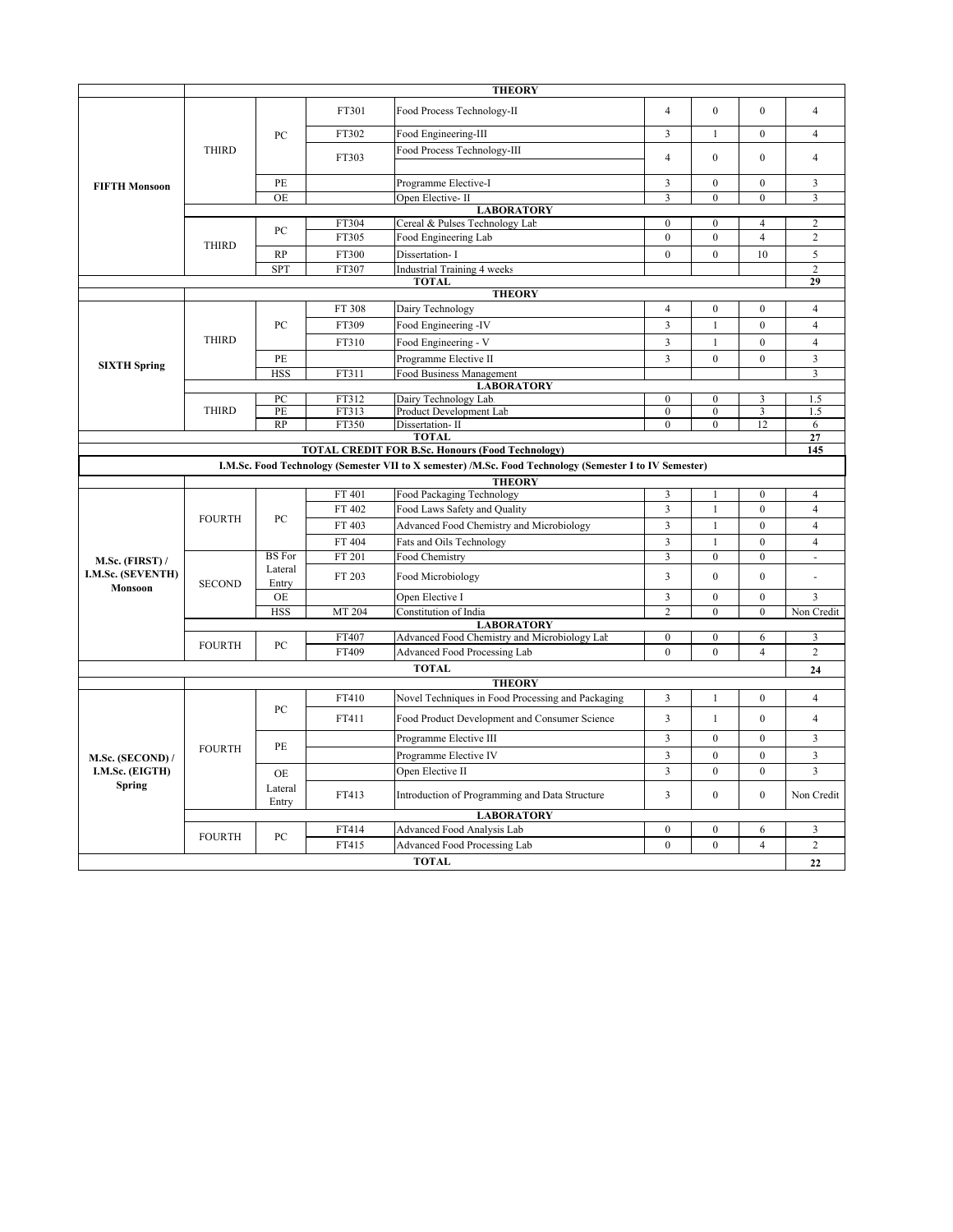|                                                                | <b>THEORY</b>     |                  |                |                                                                                                         |                                  |                                  |                                  |                                  |  |
|----------------------------------------------------------------|-------------------|------------------|----------------|---------------------------------------------------------------------------------------------------------|----------------------------------|----------------------------------|----------------------------------|----------------------------------|--|
|                                                                | <b>THIRD</b>      | PC               | FT301          | Food Process Technology-II                                                                              | $\overline{4}$                   | $\mathbf{0}$                     | $\theta$                         | $\overline{4}$                   |  |
|                                                                |                   |                  | FT302          | Food Engineering-III                                                                                    | 3                                | $\mathbf{1}$                     | $\Omega$                         | $\overline{4}$                   |  |
|                                                                |                   |                  | FT303          | Food Process Technology-III                                                                             | $\overline{4}$                   | $\mathbf{0}$                     | $\Omega$                         | $\overline{4}$                   |  |
|                                                                |                   | PE               |                | Programme Elective-I                                                                                    | $\overline{3}$                   | $\mathbf{0}$                     | $\mathbf{0}$                     | $\overline{3}$                   |  |
| <b>FIFTH Monsoon</b>                                           |                   | <b>OE</b>        |                | Open Elective-II                                                                                        | 3                                | $\mathbf{0}$                     | $\mathbf{0}$                     | 3                                |  |
|                                                                | <b>LABORATORY</b> |                  |                |                                                                                                         |                                  |                                  |                                  |                                  |  |
|                                                                |                   | PC               | FT304          | Cereal & Pulses Technology Lab                                                                          | $\mathbf{0}$                     | $\boldsymbol{0}$                 | $\overline{4}$                   | $\overline{c}$                   |  |
|                                                                | <b>THIRD</b>      |                  | FT305          | Food Engineering Lab                                                                                    | $\mathbf{0}$                     | $\mathbf{0}$                     | $\overline{4}$                   | $\overline{c}$                   |  |
|                                                                |                   | <b>RP</b>        | FT300          | Dissertation- I                                                                                         | $\mathbf{0}$                     | $\overline{0}$                   | 10                               | 5                                |  |
|                                                                |                   | <b>SPT</b>       | FT307          | <b>Industrial Training 4 weeks</b>                                                                      |                                  |                                  |                                  | $\sqrt{2}$                       |  |
|                                                                | <b>TOTAL</b>      |                  |                |                                                                                                         |                                  |                                  |                                  |                                  |  |
|                                                                |                   |                  |                | <b>THEORY</b>                                                                                           |                                  |                                  |                                  |                                  |  |
|                                                                |                   |                  | FT 308         | Dairy Technology                                                                                        | $\overline{4}$                   | $\boldsymbol{0}$                 | $\boldsymbol{0}$                 | $\overline{4}$                   |  |
|                                                                |                   | PC               | FT309          | Food Engineering -IV                                                                                    | $\overline{\mathbf{3}}$          | $\mathbf{1}$                     | $\mathbf{0}$                     | $\overline{4}$                   |  |
|                                                                | <b>THIRD</b>      |                  | FT310          | Food Engineering - V                                                                                    | $\overline{3}$                   | $\mathbf{1}$                     | $\mathbf{0}$                     | $\overline{4}$                   |  |
| <b>SIXTH Spring</b>                                            |                   | PE               |                | Programme Elective II                                                                                   | 3                                | $\mathbf{0}$                     | $\mathbf{0}$                     | 3                                |  |
|                                                                |                   | <b>HSS</b>       | FT311          | Food Business Management                                                                                |                                  |                                  |                                  | $\overline{3}$                   |  |
|                                                                |                   |                  |                | <b>LABORATORY</b>                                                                                       |                                  |                                  |                                  |                                  |  |
|                                                                | <b>THIRD</b>      | PC<br>PE         | FT312<br>FT313 | Dairy Technology Lab.<br>Product Development Lab                                                        | $\mathbf{0}$<br>$\mathbf{0}$     | $\mathbf{0}$<br>$\mathbf{0}$     | 3<br>3                           | 1.5<br>1.5                       |  |
|                                                                |                   | RP               | FT350          | Dissertation-II                                                                                         | $\mathbf{0}$                     | $\boldsymbol{0}$                 | 12                               | 6                                |  |
| <b>TOTAL</b><br>27                                             |                   |                  |                |                                                                                                         |                                  |                                  |                                  |                                  |  |
| <b>TOTAL CREDIT FOR B.Sc. Honours (Food Technology)</b><br>145 |                   |                  |                |                                                                                                         |                                  |                                  |                                  |                                  |  |
|                                                                |                   |                  |                | I.M.Sc. Food Technology (Semester VII to X semester) /M.Sc. Food Technology (Semester I to IV Semester) |                                  |                                  |                                  |                                  |  |
|                                                                |                   |                  |                | <b>THEORY</b>                                                                                           |                                  |                                  |                                  |                                  |  |
|                                                                | <b>FOURTH</b>     | PC               | FT 401         | Food Packaging Technology                                                                               | 3                                | 1                                | $\mathbf{0}$                     | $\overline{4}$                   |  |
|                                                                |                   |                  | FT 402         | Food Laws Safety and Quality                                                                            | $\overline{3}$                   | $\mathbf{1}$                     | $\mathbf{0}$                     | $\overline{4}$                   |  |
|                                                                |                   |                  | FT 403         | Advanced Food Chemistry and Microbiology                                                                | $\overline{\mathbf{3}}$          | $\mathbf{1}$                     | $\theta$                         | $\overline{4}$                   |  |
|                                                                |                   |                  | FT 404         | Fats and Oils Technology                                                                                | $\mathfrak{Z}$                   | $\mathbf{1}$                     | $\mathbf{0}$                     | $\overline{4}$                   |  |
| M.Sc. (FIRST) /                                                | <b>SECOND</b>     | <b>BS</b> For    | FT 201         | Food Chemistry                                                                                          | 3                                | $\mathbf{0}$                     | $\mathbf{0}$                     | ÷.                               |  |
| I.M.Sc. (SEVENTH)<br>Monsoon                                   |                   | Lateral<br>Entry | FT 203         | Food Microbiology                                                                                       | $\overline{3}$                   | $\theta$                         | $\theta$                         |                                  |  |
|                                                                |                   | <b>OE</b>        |                | Open Elective I                                                                                         | $\overline{3}$                   | $\mathbf{0}$                     | $\mathbf{0}$                     | 3                                |  |
|                                                                |                   | <b>HSS</b>       | MT 204         | Constitution of India                                                                                   | $\overline{c}$                   | $\mathbf{0}$                     | $\mathbf{0}$                     | Non Credit                       |  |
|                                                                |                   |                  |                | <b>LABORATORY</b>                                                                                       |                                  |                                  |                                  |                                  |  |
|                                                                | <b>FOURTH</b>     | PC               | FT407          | Advanced Food Chemistry and Microbiology Lab                                                            | $\mathbf{0}$<br>$\mathbf{0}$     | $\boldsymbol{0}$<br>$\mathbf{0}$ | 6<br>$\overline{4}$              | 3<br>$\overline{2}$              |  |
|                                                                |                   |                  | FT409          | <b>Advanced Food Processing Lab</b>                                                                     |                                  |                                  |                                  |                                  |  |
|                                                                |                   |                  |                | <b>TOTAL</b>                                                                                            |                                  |                                  |                                  | 24                               |  |
|                                                                |                   |                  |                | <b>THEORY</b>                                                                                           |                                  |                                  |                                  |                                  |  |
|                                                                | <b>FOURTH</b>     | PС               | FT410<br>FT411 | Novel Techniques in Food Processing and Packaging<br>Food Product Development and Consumer Science      | $\overline{3}$<br>$\overline{3}$ | $\mathbf{1}$<br>$\mathbf{1}$     | $\boldsymbol{0}$<br>$\mathbf{0}$ | $\overline{4}$<br>$\overline{4}$ |  |
|                                                                |                   | PE               |                | Programme Elective III                                                                                  | 3                                | $\mathbf{0}$                     | $\mathbf{0}$                     | $\overline{3}$                   |  |
| M.Sc. (SECOND) /                                               |                   |                  |                | Programme Elective IV                                                                                   | $\overline{\mathbf{3}}$          | $\mathbf{0}$                     | $\mathbf{0}$                     | 3                                |  |
| I.M.Sc. (EIGTH)<br>Spring                                      |                   | OE.              |                | Open Elective II                                                                                        | $\overline{\mathbf{3}}$          | $\mathbf{0}$                     | $\mathbf{0}$                     | $\overline{3}$                   |  |
|                                                                |                   | Lateral<br>Entry | FT413          | Introduction of Programming and Data Structure                                                          | $\overline{3}$                   | $\boldsymbol{0}$                 | $\mathbf{0}$                     | Non Credit                       |  |
|                                                                | <b>LABORATORY</b> |                  |                |                                                                                                         |                                  |                                  |                                  |                                  |  |
|                                                                | <b>FOURTH</b>     | PC               | FT414          | Advanced Food Analysis Lab                                                                              | $\mathbf{0}$                     | $\mathbf{0}$                     | 6                                | 3                                |  |
|                                                                |                   |                  | FT415          | Advanced Food Processing Lab                                                                            | $\theta$                         | $\theta$                         | $\overline{4}$                   | $\overline{2}$                   |  |
|                                                                |                   |                  |                | <b>TOTAL</b>                                                                                            |                                  |                                  |                                  | 22                               |  |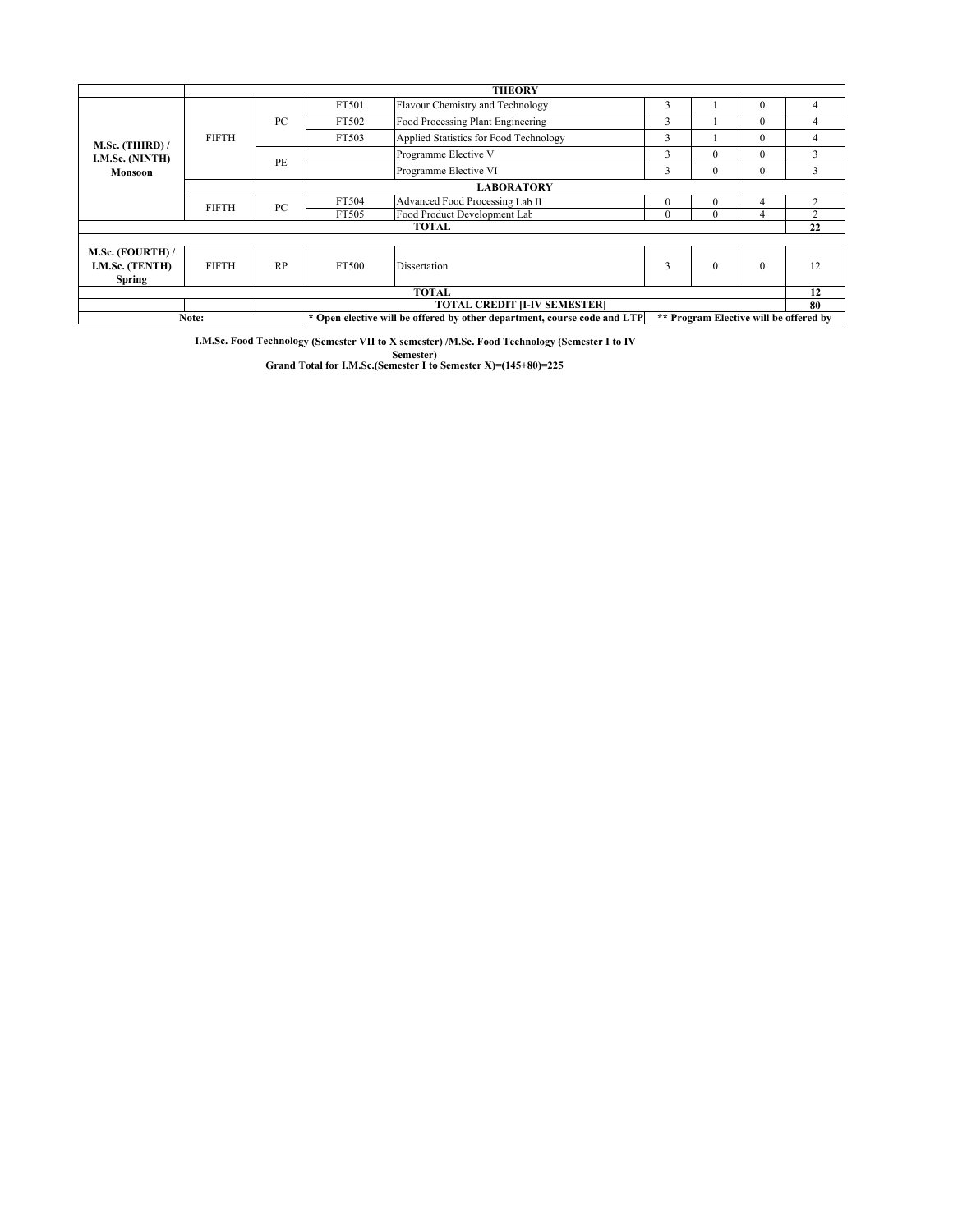|                                                        | <b>THEORY</b>     |    |                                                                                                                    |                                        |              |              |              |                             |  |
|--------------------------------------------------------|-------------------|----|--------------------------------------------------------------------------------------------------------------------|----------------------------------------|--------------|--------------|--------------|-----------------------------|--|
| $M.Sc.$ (THIRD) /<br>I.M.Sc. (NINTH)<br><b>Monsoon</b> | <b>FIFTH</b>      | PC | FT501                                                                                                              | Flavour Chemistry and Technology       | 3            |              | $\Omega$     | 4                           |  |
|                                                        |                   |    | FT502                                                                                                              | Food Processing Plant Engineering      | 3            |              | $\Omega$     | 4                           |  |
|                                                        |                   |    | FT503                                                                                                              | Applied Statistics for Food Technology | 3            |              | $\Omega$     | 4                           |  |
|                                                        |                   | PE |                                                                                                                    | Programme Elective V                   | 3            | $\Omega$     | $\Omega$     | 3                           |  |
|                                                        |                   |    |                                                                                                                    | Programme Elective VI                  | 3            | $\mathbf{0}$ | $\mathbf{0}$ | 3                           |  |
|                                                        | <b>LABORATORY</b> |    |                                                                                                                    |                                        |              |              |              |                             |  |
|                                                        | <b>FIFTH</b>      | PC | FT504                                                                                                              | Advanced Food Processing Lab II        | $\mathbf{0}$ | $\Omega$     | 4            | $\mathcal{D}_{\mathcal{A}}$ |  |
|                                                        |                   |    | FT505                                                                                                              | Food Product Development Lab           | $\mathbf{0}$ | $\Omega$     | 4            | <sup>2</sup>                |  |
| TOTAL                                                  |                   |    |                                                                                                                    |                                        |              |              | 22           |                             |  |
|                                                        |                   |    |                                                                                                                    |                                        |              |              |              |                             |  |
| M.Sc. (FOURTH) /<br>I.M.Sc. (TENTH)<br><b>Spring</b>   | <b>FIFTH</b>      | RP | FT500                                                                                                              | Dissertation                           | 3            | $\theta$     | $\Omega$     | 12                          |  |
| <b>TOTAL</b>                                           |                   |    |                                                                                                                    |                                        |              |              |              | 12                          |  |
| <b>TOTAL CREDIT [I-IV SEMESTER]</b>                    |                   |    |                                                                                                                    |                                        |              |              | 80           |                             |  |
| Note:                                                  |                   |    | * Open elective will be offered by other department, course code and LTP<br>** Program Elective will be offered by |                                        |              |              |              |                             |  |

**I.M.Sc. Food Technology (Semester VII to X semester) /M.Sc. Food Technology (Semester I to IV** 

**Semester) Grand Total for I.M.Sc.(Semester I to Semester X)=(145+80)=225**